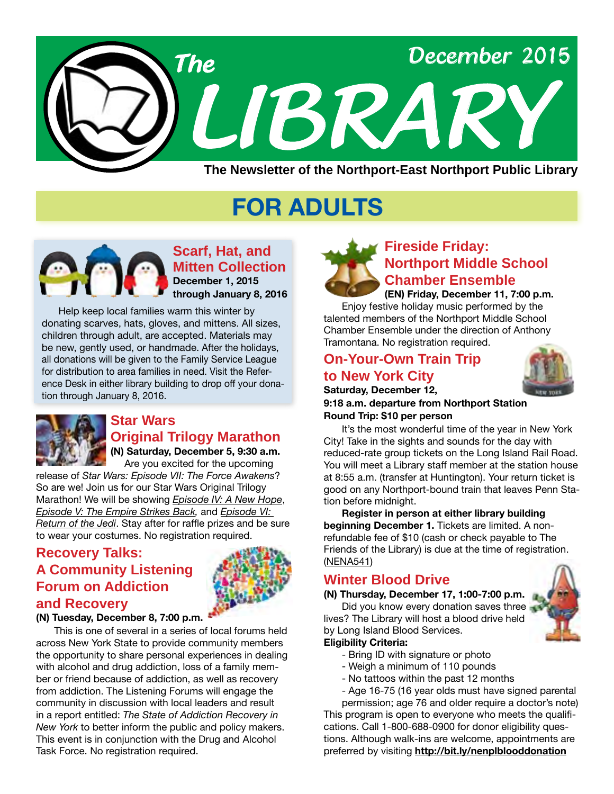

# **FOR ADULTS**



**Scarf, Hat, and Mitten Collection December 1, 2015 through January 8, 2016**

 Help keep local families warm this winter by donating scarves, hats, gloves, and mittens. All sizes, children through adult, are accepted. Materials may be new, gently used, or handmade. After the holidays, all donations will be given to the Family Service League for distribution to area families in need. Visit the Reference Desk in either library building to drop off your donation through January 8, 2016.



# **Star Wars Original Trilogy Marathon**

**(N) Saturday, December 5, 9:30 a.m.** Are you excited for the upcoming

release of *Star Wars: Episode VII: The Force Awakens*? So are we! Join us for our Star Wars Original Trilogy Marathon! We will be showing *[Episode IV: A New Hope](http://alpha1.suffolk.lib.ny.us/record=b3817164~S45)*, *[Episode V: The Empire Strikes Back,](http://alpha1.suffolk.lib.ny.us/record=b3839708~S45)* and *[Episode VI:](http://alpha1.suffolk.lib.ny.us/record=b3817166~S45)  [Return of the Jedi](http://alpha1.suffolk.lib.ny.us/record=b3817166~S45)*. Stay after for raffle prizes and be sure to wear your costumes. No registration required.

# **Recovery Talks: A Community Listening Forum on Addiction and Recovery**



#### **(N) Tuesday, December 8, 7:00 p.m.**

This is one of several in a series of local forums held across New York State to provide community members the opportunity to share personal experiences in dealing with alcohol and drug addiction, loss of a family member or friend because of addiction, as well as recovery from addiction. The Listening Forums will engage the community in discussion with local leaders and result in a report entitled: *The State of Addiction Recovery in New York* to better inform the public and policy makers. This event is in conjunction with the Drug and Alcohol Task Force. No registration required.



**(EN) Friday, December 11, 7:00 p.m.** Enjoy festive holiday music performed by the talented members of the Northport Middle School Chamber Ensemble under the direction of Anthony Tramontana. No registration required.

# **On-Your-Own Train Trip to New York City**



**Saturday, December 12, 9:18 a.m. departure from Northport Station Round Trip: \$10 per person**

It's the most wonderful time of the year in New York City! Take in the sights and sounds for the day with reduced-rate group tickets on the Long Island Rail Road. You will meet a Library staff member at the station house at 8:55 a.m. (transfer at Huntington). Your return ticket is good on any Northport-bound train that leaves Penn Station before midnight.

**Register in person at either library building beginning December 1.** Tickets are limited. A nonrefundable fee of \$10 (cash or check payable to The Friends of the Library) is due at the time of registration. ([NENA541](http://alpha1.suffolk.lib.ny.us/record=g1059402~S43))

# **Winter Blood Drive**

**(N) Thursday, December 17, 1:00-7:00 p.m.** Did you know every donation saves three lives? The Library will host a blood drive held by Long Island Blood Services. **Eligibility Criteria:**

- Bring ID with signature or photo
- Weigh a minimum of 110 pounds
- No tattoos within the past 12 months
- Age 16-75 (16 year olds must have signed parental

permission; age 76 and older require a doctor's note) This program is open to everyone who meets the qualifications. Call 1-800-688-0900 for donor eligibility questions. Although walk-ins are welcome, appointments are preferred by visiting **<http://bit.ly/nenplblooddonation>**

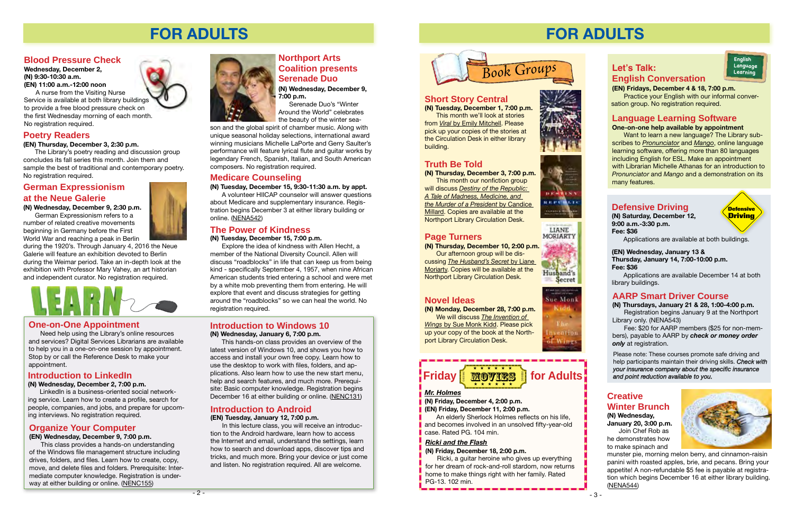# **FOR ADULTS**

# **Organize Your Computer**

### **(EN) Wednesday, December 9, 7:00 p.m.**

This class provides a hands-on understanding of the Windows file management structure including drives, folders, and files. Learn how to create, copy, move, and delete files and folders. Prerequisite: Intermediate computer knowledge. Registration is underway at either building or online. ([NENC155](http://alpha1.suffolk.lib.ny.us/record=g1047836~S43))



# **Introduction to Windows 10**

#### **(N) Wednesday, January 6, 7:00 p.m.**

Explore the idea of kindness with Allen Hecht, a member of the National Diversity Council. Allen will discuss "roadblocks" in life that can keep us from being kind - specifically September 4, 1957, when nine African American students tried entering a school and were met by a white mob preventing them from entering. He will explore that event and discuss strategies for getting around the "roadblocks" so we can heal the world. No registration required.

This hands-on class provides an overview of the latest version of Windows 10, and shows you how to access and install your own free copy. Learn how to use the desktop to work with files, folders, and applications. Also learn how to use the new start menu, help and search features, and much more. Prerequisite: Basic computer knowledge. Registration begins December 16 at either building or online. ([NENC131](http://alpha1.suffolk.lib.ny.us/record=g1040832~S43))

# **Introduction to LinkedIn**

#### **(N) Wednesday, December 2, 7:00 p.m.**

LinkedIn is a business-oriented social networking service. Learn how to create a profile, search for people, companies, and jobs, and prepare for upcoming interviews. No registration required.

# **The Power of Kindness**

#### **(N) Tuesday, December 15, 7:00 p.m.**

# **German Expressionism at the Neue Galerie**

# **(N) Wednesday, December 9, 2:30 p.m.**

German Expressionism refers to a number of related creative movements beginning in Germany before the First World War and reaching a peak in Berlin

during the 1920's. Through January 4, 2016 the Neue Galerie will feature an exhibition devoted to Berlin during the Weimar period. Take an in-depth look at the exhibition with Professor Mary Vahey, an art historian and independent curator. No registration required.

**(EN) Fridays, December 4 & 18, 7:00 p.m.** Practice your English with our informal conver-**Short Story Central Short Story Central Short Short** Station group. No registration required.

# **Medicare Counseling**

**(N) Tuesday, December 15, 9:30-11:30 a.m. by appt.**

A volunteer HIICAP counselor will answer questions about Medicare and supplementary insurance. Registration begins December 3 at either library building or online. ([NEN](http://alpha1.suffolk.lib.ny.us/record=g1059576~S43)A542)

# **Northport Arts Coalition presents Serenade Duo**

**(N) Wednesday, December 9, 7:00 p.m.**

 Serenade Duo's "Winter Around the World" celebrates the beauty of the winter sea-

> Ricki, a guitar heroine who gives up everything for her dream of rock-and-roll stardom, now returns home to make things right with her family. Rated PG-13. 102 min.





son and the global spirit of chamber music. Along with unique seasonal holiday selections, international award winning musicians Michelle LaPorte and Gerry Saulter's performance will feature lyrical flute and guitar works by legendary French, Spanish, Italian, and South American composers. No registration required.

# **Introduction to Android**

#### **(EN) Tuesday, January 12, 7:00 p.m.**

In this lecture class, you will receive an introduction to the Android hardware, learn how to access the Internet and email, understand the settings, learn how to search and download apps, discover tips and tricks, and much more. Bring your device or just come and listen. No registration required. All are welcome.

# **Blood Pressure Check**

**Wednesday, December 2, (N) 9:30-10:30 a.m. (EN) 11:00 a.m.-12:00 noon**

A nurse from the Visiting Nurse Service is available at both library buildings to provide a free blood pressure check on the first Wednesday morning of each month. No registration required.

# **One-on-One Appointment**

Need help using the Library's online resources and services? Digital Services Librarians are available to help you in a one-on-one session by appointment. Stop by or call the Reference Desk to make your appointment.

# **Poetry Readers**

**(EN) Thursday, December 3, 2:30 p.m.**

The Library's poetry reading and discussion group concludes its fall series this month. Join them and sample the best of traditional and contemporary poetry. No registration required.

# **FOR ADULTS**

# **Let's Talk: English Conversation**

**English Language Learning**

**(N) Tuesday, December 1, 7:00 p.m.** This month we'll look at stories from *Viral* [by Emily Mitchell.](http://alpha1.suffolk.lib.ny.us/record=b4840024~S43) Please pick up your copies of the stories at the Circulation Desk in either library building.



# **Truth Be Told**

**(N) Thursday, December 3, 7:00 p.m.** This month our nonfiction group will discuss *[Destiny of the Republic:](http://alpha1.suffolk.lib.ny.us/record=b4375770~S43)  [A Tale of Madness, Medicine, and](http://alpha1.suffolk.lib.ny.us/record=b4375770~S43)  [the Murder of a President](http://alpha1.suffolk.lib.ny.us/record=b4375770~S43)* by Candice [Millard](http://alpha1.suffolk.lib.ny.us/record=b4375770~S43). Copies are available at the Northport Library Circulation Desk.

# **Page Turners**

#### **(N) Thursday, December 10, 2:00 p.m.**

Our afternoon group will be discussing *[The Husband's Secret](http://alpha1.suffolk.lib.ny.us/record=b4638421~S43)* by Liane [Moriarty](http://alpha1.suffolk.lib.ny.us/record=b4638421~S43). Copies will be available at the Northport Library Circulation Desk.



LIANE MORIARTY

### **Novel Ideas**

**(N) Monday, December 28, 7:00 p.m.** We will discuss *[The Invention of](http://alpha1.suffolk.lib.ny.us/record=b4849288~S43)  Wings* [by Sue Monk Kidd](http://alpha1.suffolk.lib.ny.us/record=b4849288~S43). Please pick up your copy of the book at the Northport Library Circulation Desk.



#### **Friday <u>Movies</u> for Adults** 2612313 \* \* \* \* \* \* \* \* \* \* \* \*

## *[Mr. Holmes](http://alpha1.suffolk.lib.ny.us/search/?searchtype=t&SORT=D&searcharg=mr+holmes&searchscope=45)*

# **(N) Friday, December 4, 2:00 p.m.**

**(EN) Friday, December 11, 2:00 p.m.**

An elderly Sherlock Holmes reflects on his life, and becomes involved in an unsolved fifty-year-old case. Rated PG. 104 min.

### *[Ricki and the Flash](http://alpha1.suffolk.lib.ny.us/search/?searchtype=t&SORT=D&searcharg=Ricki+and+the+Flash&searchscope=45)*

### **(N) Friday, December 18, 2:00 p.m.**



# **Language Learning Software**

#### **One-on-one help available by appointment**

Want to learn a new language? The Library subscribes to *[Pronunciator](http://www.nenpl.org/onlineresearch/databases/language-learning.php)* and *Mango*, online language learning software, offering more than 80 languages including English for ESL. Make an appointment with Librarian Michelle Athanas for an introduction to *Pronunciator* and *Mango* and a demonstration on its many features.

# **Defensive Driving**

**(N) Saturday, December 12, 9:00 a.m.-3:30 p.m. Fee: \$36**

Applications are available at both buildings.

# **AARP Smart Driver Course**

**(N) Thursdays, January 21 & 28, 1:00-4:00 p.m.** Registration begins January 9 at the Northport Library only. (NENA543)

Fee: \$20 for AARP members (\$25 for non-members), payable to AARP by *check or money order only* at registration.

Please note: These courses promote safe driving and help participants maintain their driving skills. *Check with your insurance company about the specific insurance and point reduction available to you.*

#### **(EN) Wednesday, January 13 & Thursday, January 14, 7:00-10:00 p.m. Fee: \$36**

Applications are available December 14 at both library buildings.

### **Creative Winter Brunch (N) Wednesday,**

**January 20, 3:00 p.m.** Join Chef Rob as

he demonstrates how to make spinach and



munster pie, morning melon berry, and cinnamon-raisin panini with roasted apples, brie, and pecans. Bring your appetite! A non-refundable \$5 fee is payable at registration which begins December 16 at either library building. ([NENA544](http://alpha1.suffolk.lib.ny.us/record=g1059584~S43))

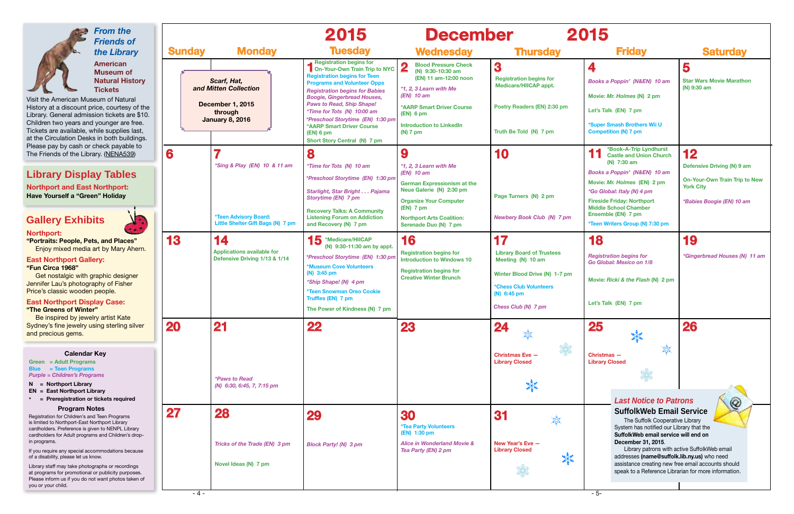

| 2015<br>er                                                                                                                                                                   |                                                                                                                                                                                                                                                                                                                                                                                                                            |                                                                                       |
|------------------------------------------------------------------------------------------------------------------------------------------------------------------------------|----------------------------------------------------------------------------------------------------------------------------------------------------------------------------------------------------------------------------------------------------------------------------------------------------------------------------------------------------------------------------------------------------------------------------|---------------------------------------------------------------------------------------|
| <b>Thursday</b>                                                                                                                                                              | <b>Friday</b>                                                                                                                                                                                                                                                                                                                                                                                                              | <b>Saturday</b>                                                                       |
| 3<br><b>Registration begins for</b><br>Medicare/HIICAP appt.                                                                                                                 | 4<br>Books a Poppin' (N&EN) 10 am                                                                                                                                                                                                                                                                                                                                                                                          | 5<br><b>Star Wars Movie Marathon</b><br>(N) 9:30 am                                   |
| Poetry Readers (EN) 2:30 pm                                                                                                                                                  | Movie: Mr. Holmes (N) 2 pm<br>Let's Talk (EN) 7 pm<br>*Super Smash Brothers Wii U                                                                                                                                                                                                                                                                                                                                          |                                                                                       |
| Truth Be Told (N) 7 pm<br>10                                                                                                                                                 | <b>Competition (N) 7 pm</b><br>*Book-A-Trip Lyndhurst<br><b>Castle and Union Church</b><br>(N) 7:30 am                                                                                                                                                                                                                                                                                                                     | 12<br>Defensive Driving (N) 9 am                                                      |
| Page Turners (N) 2 pm<br><b>Newbery Book Club (N) 7 pm</b>                                                                                                                   | Books a Poppin' (N&EN) 10 am<br>Movie: Mr. Holmes (EN) 2 pm<br>*Go Global: Italy (N) 4 pm<br><b>Fireside Friday: Northport</b><br><b>Middle School Chamber</b><br>Ensemble (EN) 7 pm<br>*Teen Writers Group (N) 7:30 pm                                                                                                                                                                                                    | <b>On-Your-Own Train Trip to New</b><br><b>York City</b><br>*Babies Boogie (EN) 10 am |
| 17<br><b>Library Board of Trustees</b><br>Meeting (N) 10 am<br>Winter Blood Drive (N) 1-7 pm<br><b>*Chess Club Volunteers</b><br>$(N)$ 6:45 pm<br><b>Chess Club (N) 7 pm</b> | 18<br><b>Registration begins for</b><br>Go Global: Mexico on 1/8<br>Movie: Ricki & the Flash (N) 2 pm<br>Let's Talk (EN) 7 pm                                                                                                                                                                                                                                                                                              | 19<br>*Gingerbread Houses (N) 11 am                                                   |
| <b>Christmas Eve -</b><br><b>Library Closed</b>                                                                                                                              | 25<br>Christmas -<br><b>Library Closed</b>                                                                                                                                                                                                                                                                                                                                                                                 | <b>26</b>                                                                             |
| 31<br>New Year's Eve -<br><b>Library Closed</b>                                                                                                                              | <b>Last Notice to Patrons</b><br><b>SuffolkWeb Email Service</b><br>The Suffolk Cooperative Library<br>System has notified our Library that the<br>SuffolkWeb email service will end on<br>December 31, 2015.<br>Library patrons with active SuffolkWeb email<br>addresses (name@suffolk.lib.ny.us) who need<br>assistance creating new free email accounts should<br>speak to a Reference Librarian for more information. |                                                                                       |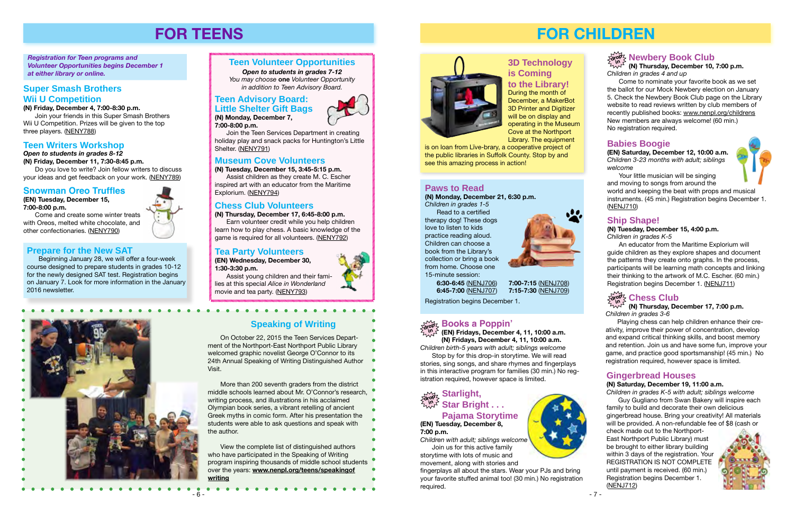# **FOR TEENS**

#### *Registration for Teen programs and Volunteer Opportunities begins December 1 at either library or online.*

# **Teen Volunteer Opportunities**

*Open to students in grades 7-12 You may choose* **one** *Volunteer Opportunity* 

# **Super Smash Brothers** *in addition to Teen Advisory Board.*  **Wii U Competition**

Do you love to write? Join fellow writers to discuss your ideas and get feedback on your work. ([NENY789](http://alpha1.suffolk.lib.ny.us/record=g1059566~S43))

#### **(N) Friday, December 4, 7:00-8:30 p.m.**

Join your friends in this Super Smash Brothers Wii U Competition. Prizes will be given to the top three players. ([NENY788](http://alpha1.suffolk.lib.ny.us/record=g1059565~S43))

### **Teen Writers Workshop**

### *Open to students in grades 8-12*

**(N) Friday, December 11, 7:30-8:45 p.m.**

#### **Prepare for the New SAT**

Beginning January 28, we will offer a four-week course designed to prepare students in grades 10-12 for the newly designed SAT test. Registration begins on January 7. Look for more information in the January 2016 newsletter.



#### **Tea Party Volunteers**

**(EN) Wednesday, December 30, 1:30-3:30 p.m.**

Assist young children and their families at this special *Alice in Wonderland* movie and tea party. [\(NENY793](http://alpha1.suffolk.lib.ny.us/record=g1059580~S43))

# **Chess Club Volunteers**

#### **(N) Thursday, December 17, 6:45-8:00 p.m.**

Earn volunteer credit while you help children learn how to play chess. A basic knowledge of the game is required for all volunteers. [\(NENY792](http://alpha1.suffolk.lib.ny.us/record=g1059579~S43))

# **Museum Cove Volunteers**

**(N) Tuesday, December 15, 3:45-5:15 p.m.**

Assist children as they create M. C. Escher inspired art with an educator from the Maritime Explorium. [\(NENY794\)](http://alpha1.suffolk.lib.ny.us/record=g1059577~S43)

### **Teen Advisory Board: Little Shelter Gift Bags (N) Monday, December 7,**

**7:00-8:00 p.m.**

Join the Teen Services Department in creating holiday play and snack packs for Huntington's Little Shelter. ([NENY791\)](http://alpha1.suffolk.lib.ny.us/record=g1059571~S43)

 On October 22, 2015 the Teen Services Department of the Northport-East Northport Public Library welcomed graphic novelist George O'Connor to its 24th Annual Speaking of Writing Distinguished Author Visit.

 More than 200 seventh graders from the district middle schools learned about Mr. O'Connor's research, writing process, and illustrations in his acclaimed Olympian book series, a vibrant retelling of ancient Greek myths in comic form. After his presentation the students were able to ask questions and speak with the author.

 View the complete list of distinguished authors who have participated in the Speaking of Writing program inspiring thousands of middle school students over the years: **[www.nenpl.org/teens/speakingof](www.nenpl.org/teens/speakingofwriting) [writing](www.nenpl.org/teens/speakingofwriting)**





**Speaking of Writing**

. . . . . . . . .

#### **Snowman Oreo Truffles**

**(EN) Tuesday, December 15, 7:00-8:00 p.m.**

Come and create some winter treats with Oreos, melted white chocolate, and other confectionaries. [\(NENY790](http://alpha1.suffolk.lib.ny.us/record=g1059616~S43))

> **(EN) Fridays, December 4, 11, 10:00 a.m. (N) Fridays, December 4, 11, 10:00 a.m.** *Children birth-5 years with adult; siblings welcome*

#### **Books a Poppin' drop in**

Stop by for this drop-in storytime. We will read stories, sing songs, and share rhymes and fingerplays in this interactive program for families (30 min.) No registration required, however space is limited.

# **FOR CHILDREN**

*Children in grades 3-6*

#### **Starlight, Star Bright . . . Pajama Storytime drop in**

Playing chess can help children enhance their creativity, improve their power of concentration, develop and expand critical thinking skills, and boost memory and retention. Join us and have some fun, improve your game, and practice good sportsmanship! (45 min.) No registration required, however space is limited.

# **Babies Boogie**

**(EN) Saturday, December 12, 10:00 a.m.** *Children 3-23 months with adult; siblings welcome*

Your little musician will be singing and moving to songs from around the world and keeping the beat with props and musical instruments. (45 min.) Registration begins December 1. ([NENJ710](http://alpha1.suffolk.lib.ny.us/record=g1059186~S43))

*Children in grades 4 and up*

Come to nominate your favorite book as we set the ballot for our Mock Newbery election on January 5. Check the Newbery Book Club page on the Library website to read reviews written by club members of recently published books: [www.nenpl.org/childrens](http://www.nenpl.org/childrens/newbery/index.php) New members are always welcome! (60 min.) No registration required.

# **Gingerbread Houses**

#### **(N) Saturday, December 19, 11:00 a.m.**

*Children in grades K-5 with adult; siblings welcome* Guy Gugliano from Swan Bakery will inspire each family to build and decorate their own delicious gingerbread house. Bring your creativity! All materials will be provided. A non-refundable fee of \$8 (cash or

check made out to the Northport-East Northport Public Library) must be brought to either library building within 3 days of the registration. Your REGISTRATION IS NOT COMPLETE until payment is received. (60 min.) Registration begins December 1. ([NENJ712](http://alpha1.suffolk.lib.ny.us/record=g1059103~S43))



# **(N) Thursday, December 17, 7:00 p.m. in**

# **Paws to Read**

**(N) Monday, December 21, 6:30 p.m.** *Children in grades 1-5*

Read to a certified therapy dog! These dogs love to listen to kids practice reading aloud. Children can choose a book from the Library's collection or bring a book from home. Choose one 15-minute session:



#### **Newbery Book Club (N) Thursday, December 10, 7:00 p.m. drop in**

**6:30-6:45** ([NENJ706\)](http://alpha1.suffolk.lib.ny.us/record=g1059184~S43) **7:00-7:15** ([NENJ708\)](http://alpha1.suffolk.lib.ny.us/record=g1059193~S43)

**6:45-7:00** ([NENJ707\)](http://alpha1.suffolk.lib.ny.us/record=g1059188~S43) **7:15-7:30** ([NENJ709\)](http://alpha1.suffolk.lib.ny.us/record=g1059195~S43)

Registration begins December 1.

# **3D Technology is Coming**

**to the Library!** During the month of December, a MakerBot 3D Printer and Digitizer will be on display and operating in the Museum Cove at the Northport Library. The equipment

is on loan from Līve-brary, a cooperative project of the public libraries in Suffolk County. Stop by and see this amazing process in action!

# **(EN) Tuesday, December 8, 7:00 p.m.**

*Children with adult; siblings welcome* Join us for this active family storytime with lots of music and movement, along with stories and

fingerplays all about the stars. Wear your PJs and bring your favorite stuffed animal too! (30 min.) No registration required.



# **Ship Shape!**

#### **(N) Tuesday, December 15, 4:00 p.m.**

*Children in grades K-5*

An educator from the Maritime Explorium will guide children as they explore shapes and document the patterns they create onto graphs. In the process, participants will be learning math concepts and linking their thinking to the artwork of M.C. Escher. (60 min.) Registration begins December 1. ([NENJ711](http://alpha1.suffolk.lib.ny.us/record=g1059017~S43))

# $\frac{d}{d\theta}$   $\frac{d}{d\theta}$   $\frac{d}{d\theta}$  Chess Club